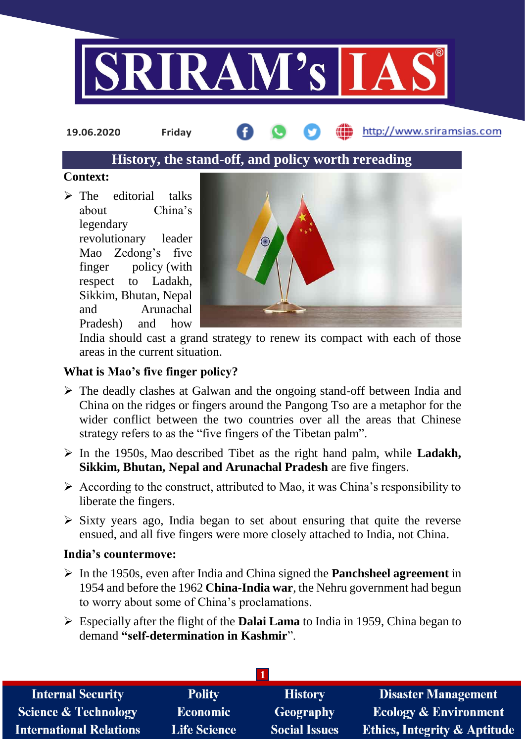

**19.06.2020 Friday**

http://www.sriramsias.com

# **History, the stand-off, and policy worth rereading**

#### **Context:**

 $\triangleright$  The editorial talks about China's legendary revolutionary leader Mao Zedong's five finger policy (with respect to Ladakh, Sikkim, Bhutan, Nepal and Arunachal Pradesh) and how



India should cast a grand strategy to renew its compact with each of those areas in the current situation.

### **What is Mao's five finger policy?**

- The deadly clashes at Galwan and the ongoing stand-off between India and China on the ridges or fingers around the Pangong Tso are a metaphor for the wider conflict between the two countries over all the areas that Chinese strategy refers to as the "five fingers of the Tibetan palm".
- In the 1950s, Mao described Tibet as the right hand palm, while **Ladakh, Sikkim, Bhutan, Nepal and Arunachal Pradesh** are five fingers.
- $\triangleright$  According to the construct, attributed to Mao, it was China's responsibility to liberate the fingers.
- $\triangleright$  Sixty years ago, India began to set about ensuring that quite the reverse ensued, and all five fingers were more closely attached to India, not China.

#### **India's countermove:**

- In the 1950s, even after India and China signed the **Panchsheel agreement** in 1954 and before the 1962 **China-India war**, the Nehru government had begun to worry about some of China's proclamations.
- Especially after the flight of the **Dalai Lama** to India in 1959, China began to demand **"self-determination in Kashmir**".

| <b>Internal Security</b>        | <b>Polity</b>   | <b>History</b>       | <b>Disaster Management</b>              |  |  |  |
|---------------------------------|-----------------|----------------------|-----------------------------------------|--|--|--|
| <b>Science &amp; Technology</b> | <b>Economic</b> | Geography            | <b>Ecology &amp; Environment</b>        |  |  |  |
| <b>International Relations</b>  | Life Science    | <b>Social Issues</b> | <b>Ethics, Integrity &amp; Aptitude</b> |  |  |  |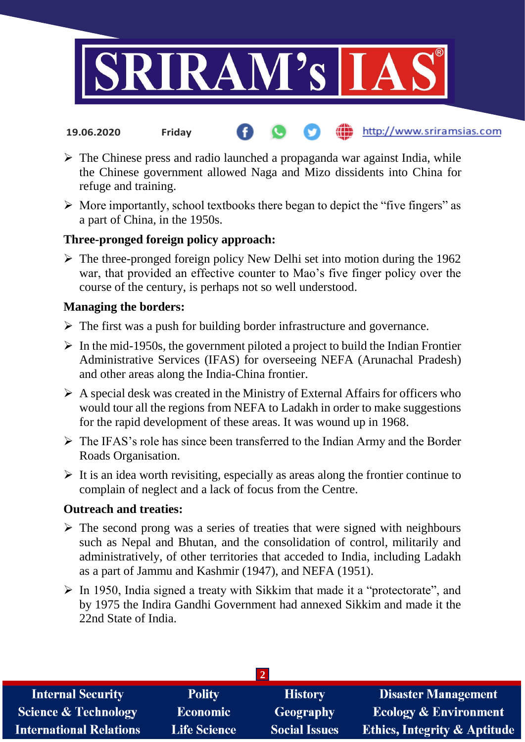

- http://www.sriramsias.com **19.06.2020 Friday**
- $\triangleright$  The Chinese press and radio launched a propaganda war against India, while the Chinese government allowed Naga and Mizo dissidents into China for refuge and training.
- $\triangleright$  More importantly, school textbooks there began to depict the "five fingers" as a part of China, in the 1950s.

# **Three-pronged foreign policy approach:**

 $\triangleright$  The three-pronged foreign policy New Delhi set into motion during the 1962 war, that provided an effective counter to Mao's five finger policy over the course of the century, is perhaps not so well understood.

#### **Managing the borders:**

- $\triangleright$  The first was a push for building border infrastructure and governance.
- $\triangleright$  In the mid-1950s, the government piloted a project to build the Indian Frontier Administrative Services (IFAS) for overseeing NEFA (Arunachal Pradesh) and other areas along the India-China frontier.
- $\triangleright$  A special desk was created in the Ministry of External Affairs for officers who would tour all the regions from NEFA to Ladakh in order to make suggestions for the rapid development of these areas. It was wound up in 1968.
- $\triangleright$  The IFAS's role has since been transferred to the Indian Army and the Border Roads Organisation.
- $\triangleright$  It is an idea worth revisiting, especially as areas along the frontier continue to complain of neglect and a lack of focus from the Centre.

#### **Outreach and treaties:**

- $\triangleright$  The second prong was a series of treaties that were signed with neighbours such as Nepal and Bhutan, and the consolidation of control, militarily and administratively, of other territories that acceded to India, including Ladakh as a part of Jammu and Kashmir (1947), and NEFA (1951).
- $\triangleright$  In 1950, India signed a treaty with Sikkim that made it a "protectorate", and by 1975 the Indira Gandhi Government had annexed Sikkim and made it the 22nd State of India.

| <b>Internal Security</b>        | <b>Polity</b>       | <b>History</b>       | <b>Disaster Management</b>              |  |  |  |
|---------------------------------|---------------------|----------------------|-----------------------------------------|--|--|--|
| <b>Science &amp; Technology</b> | <b>Economic</b>     | <b>Geography</b>     | <b>Ecology &amp; Environment</b>        |  |  |  |
| <b>International Relations</b>  | <b>Life Science</b> | <b>Social Issues</b> | <b>Ethics, Integrity &amp; Aptitude</b> |  |  |  |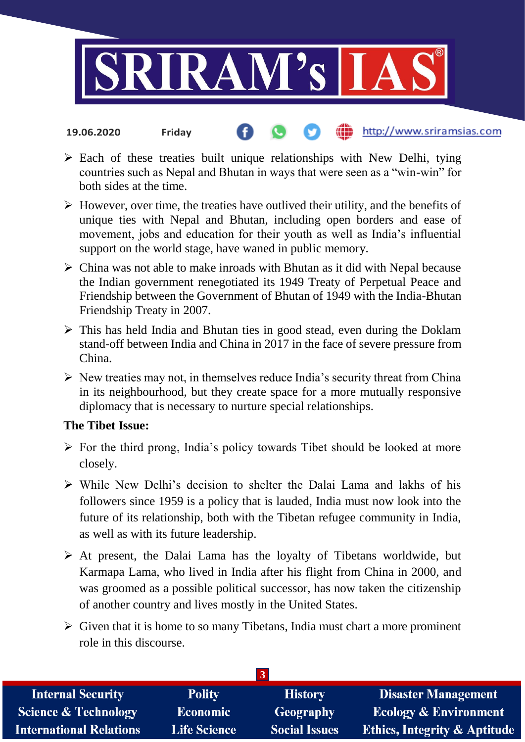

- http://www.sriramsias.com **19.06.2020 Friday**
- $\triangleright$  Each of these treaties built unique relationships with New Delhi, tying countries such as Nepal and Bhutan in ways that were seen as a "win-win" for both sides at the time.
- $\triangleright$  However, over time, the treaties have outlived their utility, and the benefits of unique ties with Nepal and Bhutan, including open borders and ease of movement, jobs and education for their youth as well as India's influential support on the world stage, have waned in public memory.
- $\triangleright$  China was not able to make inroads with Bhutan as it did with Nepal because the Indian government renegotiated its 1949 Treaty of Perpetual Peace and Friendship between the Government of Bhutan of 1949 with the India-Bhutan Friendship Treaty in 2007.
- $\triangleright$  This has held India and Bhutan ties in good stead, even during the Doklam stand-off between India and China in 2017 in the face of severe pressure from China.
- $\triangleright$  New treaties may not, in themselves reduce India's security threat from China in its neighbourhood, but they create space for a more mutually responsive diplomacy that is necessary to nurture special relationships.

#### **The Tibet Issue:**

- $\triangleright$  For the third prong, India's policy towards Tibet should be looked at more closely.
- While New Delhi's decision to shelter the Dalai Lama and lakhs of his followers since 1959 is a policy that is lauded, India must now look into the future of its relationship, both with the Tibetan refugee community in India, as well as with its future leadership.
- $\triangleright$  At present, the Dalai Lama has the loyalty of Tibetans worldwide, but Karmapa Lama, who lived in India after his flight from China in 2000, and was groomed as a possible political successor, has now taken the citizenship of another country and lives mostly in the United States.
- $\triangleright$  Given that it is home to so many Tibetans, India must chart a more prominent role in this discourse.

| <b>Internal Security</b>        | <b>Polity</b>       | <b>History</b>       | <b>Disaster Management</b>              |  |  |
|---------------------------------|---------------------|----------------------|-----------------------------------------|--|--|
| <b>Science &amp; Technology</b> | <b>Economic</b>     | Geography            | <b>Ecology &amp; Environment</b>        |  |  |
| <b>International Relations</b>  | <b>Life Science</b> | <b>Social Issues</b> | <b>Ethics, Integrity &amp; Aptitude</b> |  |  |